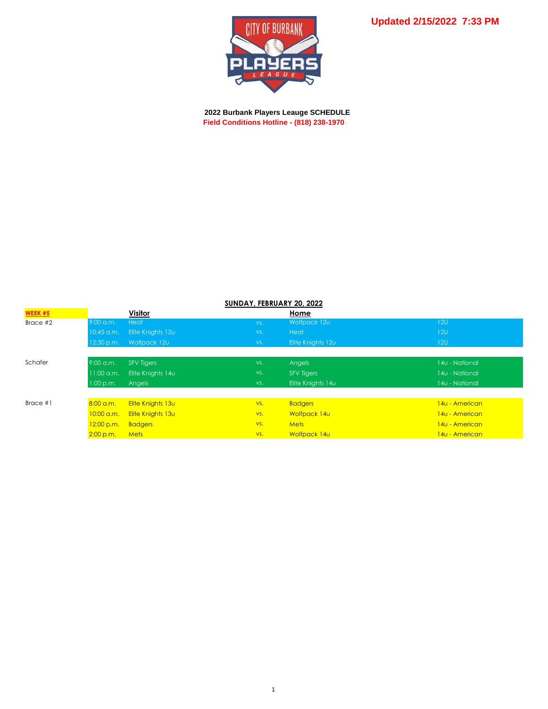

 **2022 Burbank Players Leauge SCHEDULE Field Conditions Hotline - (818) 238-1970**

| <b>WEEK #5</b> |              | <b>Visitor</b>    |     | Home              |                |
|----------------|--------------|-------------------|-----|-------------------|----------------|
| Brace #2       | $9:00$ a.m.  | Heat              | VS. | Wolfpack 12u      | 120            |
|                | 10:45 a.m.   | Elite Knights 12u | VS. | <b>Heat</b>       | 120            |
|                | 12:30 p.m.   | Wolfpack 12u      | VS. | Elite Knights 12u | 12U            |
|                |              |                   |     |                   |                |
| Schafer        | $9:00$ a.m.  | <b>SFV Tigers</b> | VS. | Angels            | 14u - National |
|                | $11:00$ a.m. | Elite Knights 14u | VS. | <b>SFV Tigers</b> | 14u - National |
|                | 1:00 p.m.    | Angels            | VS. | Elite Knights 14u | 14u - National |
|                |              |                   |     |                   |                |
| Brace $#1$     | $8:00$ a.m.  | Elite Knights 13u | VS. | <b>Badgers</b>    | 140 - American |
|                | 10:00 a.m.   | Elite Knights 13u | VS. | Wolfpack 14u      | 140 - American |
|                | 12:00 p.m.   | <b>Badgers</b>    | VS. | <b>Mets</b>       | 140 - American |
|                | 2:00 p.m.    | <b>Mets</b>       | VS. | Wolfpack 14u      | 140 - American |
|                |              |                   |     |                   |                |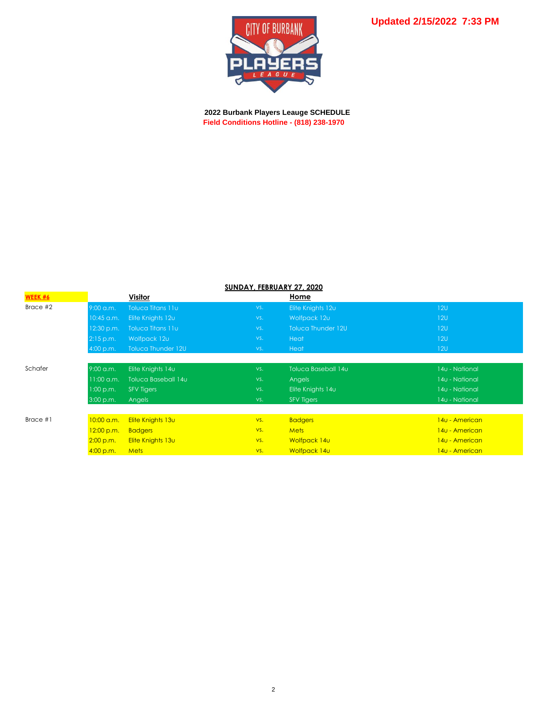

 **2022 Burbank Players Leauge SCHEDULE Field Conditions Hotline - (818) 238-1970**

| SUNDAY, FEBRUARY 27, 2020 |              |                          |     |                     |                |  |  |
|---------------------------|--------------|--------------------------|-----|---------------------|----------------|--|--|
| WEEK #6                   |              | Visitor                  |     | Home                |                |  |  |
| Brace #2                  | $9:00$ a.m.  | <b>Toluca Titans 11u</b> | VS. | Elite Knights 12u   | 120            |  |  |
|                           | 10:45 a.m.   | Elite Knights 12u        | VS. | Wolfpack 12u        | 120            |  |  |
|                           | $12:30$ p.m. | Toluca Titans 11u        | VS. | Toluca Thunder 12U  | 120            |  |  |
|                           | $2:15$ p.m.  | Wolfpack 12u             | VS. | Heat                | 120            |  |  |
|                           | 4:00 p.m.    | Toluca Thunder 12U       | VS. | <b>Heat</b>         | 12U            |  |  |
|                           |              |                          |     |                     |                |  |  |
| Schafer                   | 9:00 a.m.    | Elite Knights 14u        | VS. | Toluca Baseball 14u | 14u - National |  |  |
|                           | $11:00$ a.m. | Toluca Baseball 14u      | VS. | Angels              | 14u - National |  |  |
|                           | 1:00 p.m.    | <b>SFV Tigers</b>        | VS. | Elite Knights 14u   | 14u - National |  |  |
|                           | 3:00 p.m.    | <b>Angels</b>            | VS. | <b>SFV Tigers</b>   | 14u - National |  |  |
|                           |              |                          |     |                     |                |  |  |
| Brace #1                  | $10:00$ a.m. | Elite Knights 13u        | VS. | <b>Badgers</b>      | 140 - American |  |  |
|                           | 12:00 p.m.   | <b>Badgers</b>           | VS. | <b>Mets</b>         | 140 - American |  |  |
|                           | 2:00 p.m.    | Elite Knights 13u        | VS. | Wolfpack 14u        | 140 - American |  |  |
|                           | 4:00 p.m.    | <b>Mets</b>              | VS. | Wolfpack 14u        | 140 - American |  |  |

## **SUNDAY, FEBRUARY 27, 2020**